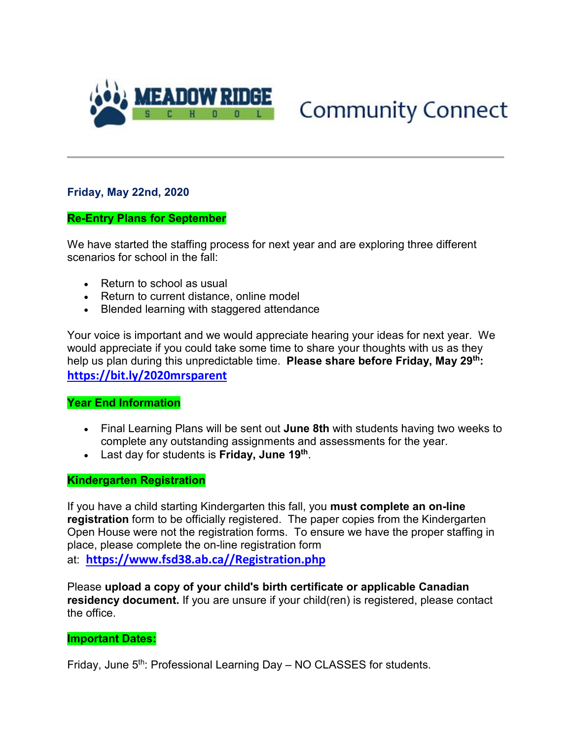

# **Community Connect**

## **Friday, May 22nd, 2020**

### **Re-Entry Plans for September**

We have started the staffing process for next year and are exploring three different scenarios for school in the fall:

- Return to school as usual
- Return to current distance, online model
- Blended learning with staggered attendance

Your voice is important and we would appreciate hearing your ideas for next year. We would appreciate if you could take some time to share your thoughts with us as they help us plan during this unpredictable time. **Please share before Friday, May 29th: [https://bit.ly/2020mrsparent](http://track.spe.schoolmessenger.com/f/a/IgmUQC90neesqJDkpzCjsA%7E%7E/AAAAAQA%7E/RgRgqTm1P0QcaHR0cHM6Ly9iaXQubHkvMjAyMG1yc3BhcmVudFcHc2Nob29sbUIKAEc1BsheKWy_kFISc2tlZXRiQGZzZDM4LmFiLmNhWAQAAAAC)**

## **Year End Information**

- Final Learning Plans will be sent out **June 8th** with students having two weeks to complete any outstanding assignments and assessments for the year.
- Last day for students is **Friday, June 19th**.

#### **Kindergarten Registration**

If you have a child starting Kindergarten this fall, you **must complete an on-line registration** form to be officially registered. The paper copies from the Kindergarten Open House were not the registration forms. To ensure we have the proper staffing in place, please complete the on-line registration form at: **[https://www.fsd38.ab.ca//Registration.php](http://track.spe.schoolmessenger.com/f/a/Uof6EhpOPzgjcWAtQX0lDQ%7E%7E/AAAAAQA%7E/RgRgqTm1P0TPaHR0cDovL3RyYWNrLnNwZS5zY2hvb2xtZXNzZW5nZXIuY29tL2YvYS9MWEk1a0NaRGlfcXJDeVFkZ1VjMVBRfn4vQUFBQUFRQX4vUmdSZ250aTNQMFFvYUhSMGNITTZMeTkzZDNjdVpuTmtNemd1WVdJdVkyRXZVbVZuYVhOMGNtRjBhVzl1TG5Cb2NGY0hjMk5vYjI5c2JVSUtBRVkzcGIxZXQzWjFDbElVWm05eVkyaDFhM0pBWm5Oa016Z3VZV0l1WTJGWUJBQUFBQUl-VwdzY2hvb2xtQgoARzUGyF4pbL-QUhJza2VldGJAZnNkMzguYWIuY2FYBAAAAAI%7E)**

Please **upload a copy of your child's birth certificate or applicable Canadian residency document.** If you are unsure if your child(ren) is registered, please contact the office.

#### **Important Dates:**

Friday, June 5<sup>th</sup>: Professional Learning Day – NO CLASSES for students.